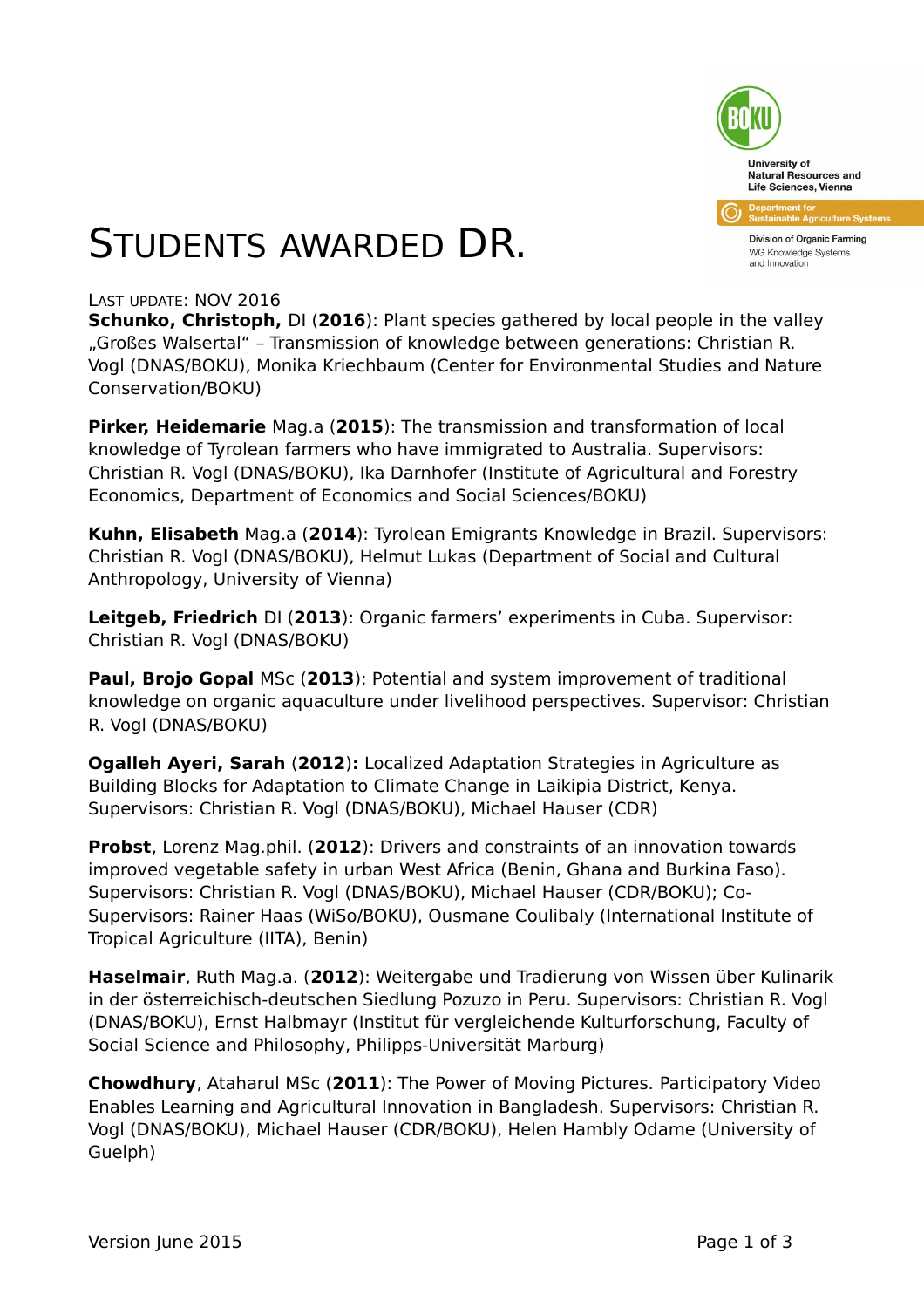

Division of Organic Farming WG Knowledge Systems and Innovation

## STUDENTS AWARDED DR.

#### LAST UPDATE: NOV 2016

**Schunko, Christoph, DI (2016): Plant species gathered by local people in the valley** "Großes Walsertal" – Transmission of knowledge between generations: Christian R. Vogl (DNAS/BOKU), Monika Kriechbaum (Center for Environmental Studies and Nature Conservation/BOKU)

**Pirker, Heidemarie** Mag.a (**2015**): The transmission and transformation of local knowledge of Tyrolean farmers who have immigrated to Australia. Supervisors: Christian R. Vogl (DNAS/BOKU), Ika Darnhofer (Institute of Agricultural and Forestry Economics, Department of Economics and Social Sciences/BOKU)

**Kuhn, Elisabeth** Mag.a (**2014**): Tyrolean Emigrants Knowledge in Brazil. Supervisors: Christian R. Vogl (DNAS/BOKU), Helmut Lukas (Department of Social and Cultural Anthropology, University of Vienna)

**Leitgeb, Friedrich** DI (**2013**): Organic farmers' experiments in Cuba. Supervisor: Christian R. Vogl (DNAS/BOKU)

**Paul, Brojo Gopal** MSc (**2013**): Potential and system improvement of traditional knowledge on organic aquaculture under livelihood perspectives. Supervisor: Christian R. Vogl (DNAS/BOKU)

**Ogalleh Ayeri, Sarah** (**2012**)**:** Localized Adaptation Strategies in Agriculture as Building Blocks for Adaptation to Climate Change in Laikipia District, Kenya. Supervisors: Christian R. Vogl (DNAS/BOKU), Michael Hauser (CDR)

**Probst**, Lorenz Mag.phil. (**2012**): Drivers and constraints of an innovation towards improved vegetable safety in urban West Africa (Benin, Ghana and Burkina Faso). Supervisors: Christian R. Vogl (DNAS/BOKU), Michael Hauser (CDR/BOKU); Co-Supervisors: Rainer Haas (WiSo/BOKU), Ousmane Coulibaly (International Institute of Tropical Agriculture (IITA), Benin)

**Haselmair**, Ruth Mag.a. (**2012**): Weitergabe und Tradierung von Wissen über Kulinarik in der österreichisch-deutschen Siedlung Pozuzo in Peru. Supervisors: Christian R. Vogl (DNAS/BOKU), Ernst Halbmayr (Institut für vergleichende Kulturforschung, Faculty of Social Science and Philosophy, Philipps-Universität Marburg)

**Chowdhury**, Ataharul MSc (**2011**): The Power of Moving Pictures. Participatory Video Enables Learning and Agricultural Innovation in Bangladesh. Supervisors: Christian R. Vogl (DNAS/BOKU), Michael Hauser (CDR/BOKU), Helen Hambly Odame (University of Guelph)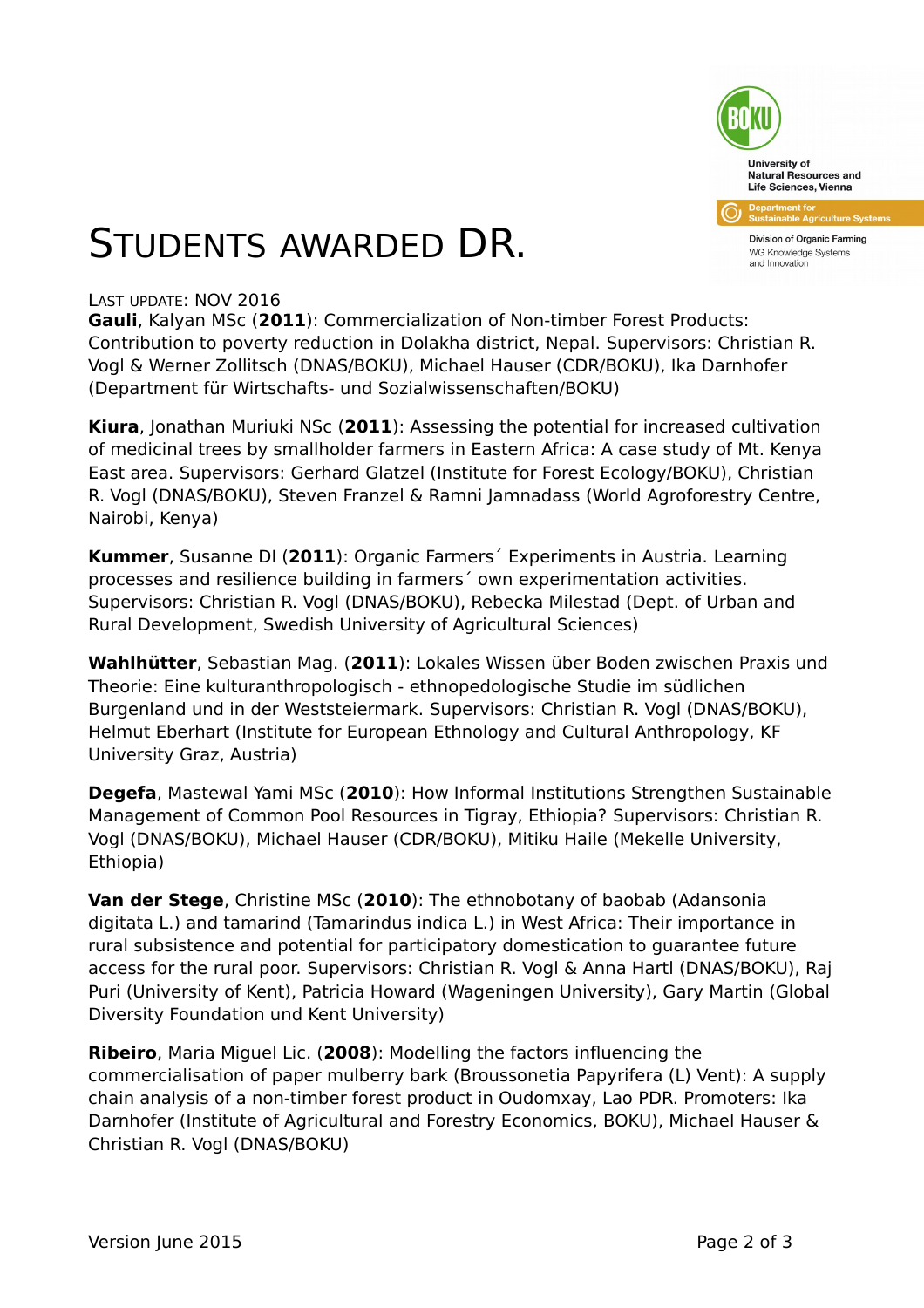

Division of Organic Farming WG Knowledge Systems and Innovation

# STUDENTS AWARDED DR.

#### LAST UPDATE: NOV 2016

**Gauli**, Kalyan MSc (**2011**): Commercialization of Non-timber Forest Products: Contribution to poverty reduction in Dolakha district, Nepal. Supervisors: Christian R. Vogl & Werner Zollitsch (DNAS/BOKU), Michael Hauser (CDR/BOKU), Ika Darnhofer (Department für Wirtschafts- und Sozialwissenschaften/BOKU)

**Kiura**, Jonathan Muriuki NSc (**2011**): Assessing the potential for increased cultivation of medicinal trees by smallholder farmers in Eastern Africa: A case study of Mt. Kenya East area. Supervisors: Gerhard Glatzel (Institute for Forest Ecology/BOKU), Christian R. Vogl (DNAS/BOKU), Steven Franzel & Ramni Jamnadass (World Agroforestry Centre, Nairobi, Kenya)

**Kummer**, Susanne DI (**2011**): Organic Farmers´ Experiments in Austria. Learning processes and resilience building in farmers´ own experimentation activities. Supervisors: Christian R. Vogl (DNAS/BOKU), Rebecka Milestad (Dept. of Urban and Rural Development, Swedish University of Agricultural Sciences)

**Wahlhütter**, Sebastian Mag. (**2011**): Lokales Wissen über Boden zwischen Praxis und Theorie: Eine kulturanthropologisch - ethnopedologische Studie im südlichen Burgenland und in der Weststeiermark. Supervisors: Christian R. Vogl (DNAS/BOKU), Helmut Eberhart (Institute for European Ethnology and Cultural Anthropology, KF University Graz, Austria)

**Degefa**, Mastewal Yami MSc (**2010**): How Informal Institutions Strengthen Sustainable Management of Common Pool Resources in Tigray, Ethiopia? Supervisors: Christian R. Vogl (DNAS/BOKU), Michael Hauser (CDR/BOKU), Mitiku Haile (Mekelle University, Ethiopia)

**Van der Stege**, Christine MSc (**2010**): The ethnobotany of baobab (Adansonia digitata L.) and tamarind (Tamarindus indica L.) in West Africa: Their importance in rural subsistence and potential for participatory domestication to guarantee future access for the rural poor. Supervisors: Christian R. Vogl & Anna Hartl (DNAS/BOKU), Raj Puri (University of Kent), Patricia Howard (Wageningen University), Gary Martin (Global Diversity Foundation und Kent University)

**Ribeiro**, Maria Miguel Lic. (**2008**): Modelling the factors influencing the commercialisation of paper mulberry bark (Broussonetia Papyrifera (L) Vent): A supply chain analysis of a non-timber forest product in Oudomxay, Lao PDR. Promoters: Ika Darnhofer (Institute of Agricultural and Forestry Economics, BOKU), Michael Hauser & Christian R. Vogl (DNAS/BOKU)